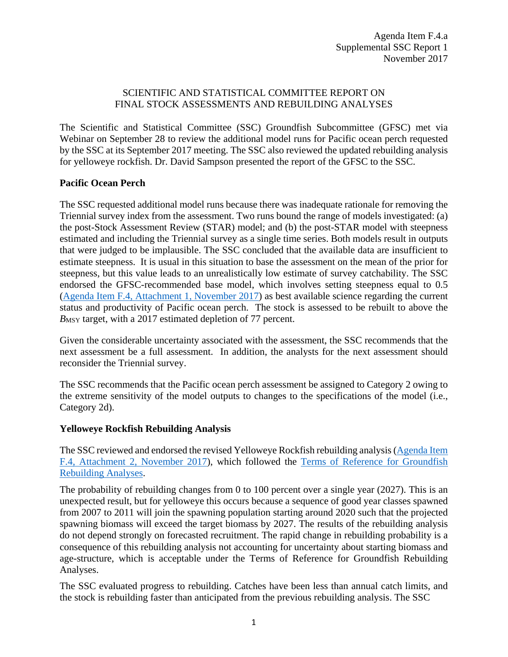## SCIENTIFIC AND STATISTICAL COMMITTEE REPORT ON FINAL STOCK ASSESSMENTS AND REBUILDING ANALYSES

The Scientific and Statistical Committee (SSC) Groundfish Subcommittee (GFSC) met via Webinar on September 28 to review the additional model runs for Pacific ocean perch requested by the SSC at its September 2017 meeting. The SSC also reviewed the updated rebuilding analysis for yelloweye rockfish. Dr. David Sampson presented the report of the GFSC to the SSC.

## **Pacific Ocean Perch**

The SSC requested additional model runs because there was inadequate rationale for removing the Triennial survey index from the assessment. Two runs bound the range of models investigated: (a) the post-Stock Assessment Review (STAR) model; and (b) the post-STAR model with steepness estimated and including the Triennial survey as a single time series. Both models result in outputs that were judged to be implausible. The SSC concluded that the available data are insufficient to estimate steepness. It is usual in this situation to base the assessment on the mean of the prior for steepness, but this value leads to an unrealistically low estimate of survey catchability. The SSC endorsed the GFSC-recommended base model, which involves setting steepness equal to 0.5 [\(Agenda Item F.4, Attachment 1, November 2017\)](http://www.pcouncil.org/wp-content/uploads/2017/10/F4_Att1_Full_E-only_PacificOceanPerch2017_Assessment_NOV2017BB.pdf) as best available science regarding the current status and productivity of Pacific ocean perch. The stock is assessed to be rebuilt to above the *B*MSY target, with a 2017 estimated depletion of 77 percent.

Given the considerable uncertainty associated with the assessment, the SSC recommends that the next assessment be a full assessment. In addition, the analysts for the next assessment should reconsider the Triennial survey.

The SSC recommends that the Pacific ocean perch assessment be assigned to Category 2 owing to the extreme sensitivity of the model outputs to changes to the specifications of the model (i.e., Category 2d).

## **Yelloweye Rockfish Rebuilding Analysis**

The SSC reviewed and endorsed the revised Yelloweye Rockfish rebuilding analysis[\(Agenda Item](http://www.pcouncil.org/wp-content/uploads/2017/10/F4_Att2_2017_yelloweye_rebuilding_final_NOV2017BB.pdf)  [F.4, Attachment 2, November 2017\)](http://www.pcouncil.org/wp-content/uploads/2017/10/F4_Att2_2017_yelloweye_rebuilding_final_NOV2017BB.pdf), which followed the [Terms of Reference for Groundfish](http://www.pcouncil.org/wp-content/uploads/2017/01/GF_Rebuild_ToR_2017-18.pdf)  [Rebuilding Analyses.](http://www.pcouncil.org/wp-content/uploads/2017/01/GF_Rebuild_ToR_2017-18.pdf)

The probability of rebuilding changes from 0 to 100 percent over a single year (2027). This is an unexpected result, but for yelloweye this occurs because a sequence of good year classes spawned from 2007 to 2011 will join the spawning population starting around 2020 such that the projected spawning biomass will exceed the target biomass by 2027. The results of the rebuilding analysis do not depend strongly on forecasted recruitment. The rapid change in rebuilding probability is a consequence of this rebuilding analysis not accounting for uncertainty about starting biomass and age-structure, which is acceptable under the Terms of Reference for Groundfish Rebuilding Analyses.

The SSC evaluated progress to rebuilding. Catches have been less than annual catch limits, and the stock is rebuilding faster than anticipated from the previous rebuilding analysis. The SSC